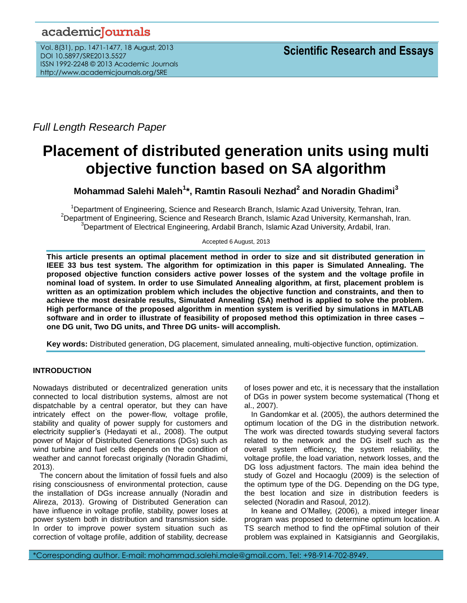## academicJournals

Vol. 8(31), pp. 1471-1477, 18 August, 2013 DOI 10.5897/SRE2013.5527 ISSN 1992-2248 © 2013 Academic Journals http://www.academicjournals.org/SRE

*Full Length Research Paper*

# **Placement of distributed generation units using multi objective function based on SA algorithm**

### **Mohammad Salehi Maleh<sup>1</sup> \*, Ramtin Rasouli Nezhad<sup>2</sup> and Noradin Ghadimi<sup>3</sup>**

<sup>1</sup>Department of Engineering, Science and Research Branch, Islamic Azad University, Tehran, Iran.  $2D$ epartment of Engineering, Science and Research Branch, Islamic Azad University, Kermanshah, Iran. <sup>3</sup>Department of Electrical Engineering, Ardabil Branch, Islamic Azad University, Ardabil, Iran.

Accepted 6 August, 2013

**This article presents an optimal placement method in order to size and sit distributed generation in IEEE 33 bus test system. The algorithm for optimization in this paper is Simulated Annealing. The proposed objective function considers active power losses of the system and the voltage profile in nominal load of system. In order to use Simulated Annealing algorithm, at first, placement problem is written as an optimization problem which includes the objective function and constraints, and then to achieve the most desirable results, Simulated Annealing (SA) method is applied to solve the problem. High performance of the proposed algorithm in mention system is verified by simulations in MATLAB software and in order to illustrate of feasibility of proposed method this optimization in three cases – one DG unit, Two DG units, and Three DG units- will accomplish.**

**Key words:** Distributed generation, DG placement, simulated annealing, multi-objective function, optimization.

#### **INTRODUCTION**

Nowadays distributed or decentralized generation units connected to local distribution systems, almost are not dispatchable by a central operator, but they can have intricately effect on the power-flow, voltage profile, stability and quality of power supply for customers and electricity supplier's (Hedayati et al., 2008). The output power of Major of Distributed Generations (DGs) such as wind turbine and fuel cells depends on the condition of weather and cannot forecast originally (Noradin Ghadimi, 2013).

The concern about the limitation of fossil fuels and also rising consciousness of environmental protection, cause the installation of DGs increase annually (Noradin and Alireza, 2013). Growing of Distributed Generation can have influence in voltage profile, stability, power loses at power system both in distribution and transmission side. In order to improve power system situation such as correction of voltage profile, addition of stability, decrease

of loses power and etc, it is necessary that the installation of DGs in power system become systematical (Thong et al., 2007).

In Gandomkar et al. (2005), the authors determined the optimum location of the DG in the distribution network. The work was directed towards studying several factors related to the network and the DG itself such as the overall system efficiency, the system reliability, the voltage profile, the load variation, network losses, and the DG loss adjustment factors. The main idea behind the study of Gozel and Hocaoglu (2009) is the selection of the optimum type of the DG. Depending on the DG type, the best location and size in distribution feeders is selected (Noradin and Rasoul, 2012).

In keane and O'Malley, (2006), a mixed integer linear program was proposed to determine optimum location. A TS search method to find the opFtimal solution of their problem was explained in Katsigiannis and Georgilakis,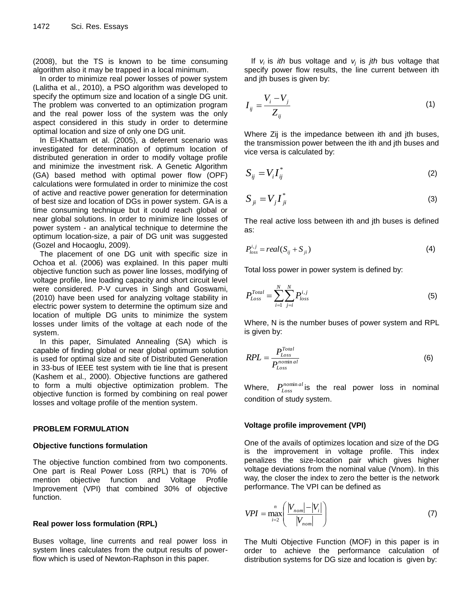(2008), but the TS is known to be time consuming algorithm also it may be trapped in a local minimum.

In order to minimize real power losses of power system (Lalitha et al., 2010), a PSO algorithm was developed to specify the optimum size and location of a single DG unit. The problem was converted to an optimization program and the real power loss of the system was the only aspect considered in this study in order to determine optimal location and size of only one DG unit.

In El-Khattam et al. (2005), a deferent scenario was investigated for determination of optimum location of distributed generation in order to modify voltage profile and minimize the investment risk. A Genetic Algorithm (GA) based method with optimal power flow (OPF) calculations were formulated in order to minimize the cost of active and reactive power generation for determination of best size and location of DGs in power system. GA is a time consuming technique but it could reach global or near global solutions. In order to minimize line losses of power system - an analytical technique to determine the optimum location-size, a pair of DG unit was suggested (Gozel and Hocaoglu, 2009).

The placement of one DG unit with specific size in Ochoa et al. (2006) was explained. In this paper multi objective function such as power line losses, modifying of voltage profile, line loading capacity and short circuit level were considered. P-V curves in Singh and Goswami, (2010) have been used for analyzing voltage stability in electric power system to determine the optimum size and location of multiple DG units to minimize the system losses under limits of the voltage at each node of the system.

In this paper, Simulated Annealing (SA) which is capable of finding global or near global optimum solution is used for optimal size and site of Distributed Generation in 33-bus of IEEE test system with tie line that is present (Kashem et al., 2000). Objective functions are gathered to form a multi objective optimization problem. The objective function is formed by combining on real power losses and voltage profile of the mention system.

#### **PROBLEM FORMULATION**

#### **Objective functions formulation**

The objective function combined from two components. One part is Real Power Loss (RPL) that is 70% of mention objective function and Voltage Profile Improvement (VPI) that combined 30% of objective function.

#### **Real power loss formulation (RPL)**

Buses voltage, line currents and real power loss in system lines calculates from the output results of powerflow which is used of Newton-Raphson in this paper.

If *vi* is *ith* bus voltage and *v<sup>j</sup>* is *jth* bus voltage that specify power flow results, the line current between ith and jth buses is given by:

$$
I_{ij} = \frac{V_i - V_j}{Z_{ij}} \tag{1}
$$

Where Zij is the impedance between ith and jth buses, the transmission power between the ith and jth buses and vice versa is calculated by:

$$
S_{ij} = V_i I_{ij}^* \tag{2}
$$

$$
S_{ji} = V_j I_{ji}^* \tag{3}
$$

The real active loss between ith and jth buses is defined as:

$$
P_{loss}^{i,j} = real(S_{ij} + S_{ji})
$$
\n(4)

Total loss power in power system is defined by:

$$
P_{Loss}^{Total} = \sum_{i=1}^{N} \sum_{j=i}^{N} P_{loss}^{i,j}
$$
 (5)

Where, N is the number buses of power system and RPL is given by:

$$
RPL = \frac{P_{Loss}^{Total}}{P_{Loss}^{nominal}}
$$
 (6)

Where,  $P_{\scriptscriptstyle{Loss}}^{\scriptscriptstyle{nominal}}$  is the real power loss in nominal condition of study system.

#### **Voltage profile improvement (VPI)**

One of the avails of optimizes location and size of the DG is the improvement in voltage profile. This index penalizes the size-location pair which gives higher voltage deviations from the nominal value (Vnom). In this way, the closer the index to zero the better is the network performance. The VPI can be defined as

$$
VPI = \max_{i=2}^{n} \left( \frac{|V_{nom}| - |V_i|}{|V_{nom}|} \right)
$$
 (7)

The Multi Objective Function (MOF) in this paper is in order to achieve the performance calculation of distribution systems for DG size and location is given by: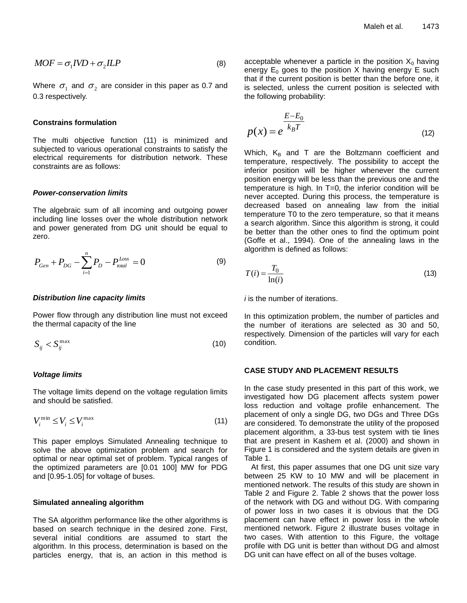$$
MOF = \sigma_1 IVD + \sigma_2 ILP \tag{8}
$$

Where  $\sigma_{\text{\tiny{l}}}$  and  $\sigma_{\text{\tiny{2}}}$  are consider in this paper as 0.7 and 0.3 respectively.

#### **Constrains formulation**

The multi objective function (11) is minimized and subjected to various operational constraints to satisfy the electrical requirements for distribution network. These constraints are as follows:

#### *Power-conservation limits*

The algebraic sum of all incoming and outgoing power including line losses over the whole distribution network and power generated from DG unit should be equal to zero.

$$
P_{Gen} + P_{DG} - \sum_{i=1}^{n} P_D - P_{total}^{Loss} = 0
$$
 (9)

#### *Distribution line capacity limits*

Power flow through any distribution line must not exceed the thermal capacity of the line

$$
S_{ij} < S_{ij}^{\max} \tag{10}
$$

#### *Voltage limits*

The voltage limits depend on the voltage regulation limits and should be satisfied.

$$
V_i^{\min} \le V_i \le V_i^{\max} \tag{11}
$$

This paper employs Simulated Annealing technique to solve the above optimization problem and search for optimal or near optimal set of problem. Typical ranges of the optimized parameters are [0.01 100] MW for PDG and [0.95-1.05] for voltage of buses.

#### **Simulated annealing algorithm**

The SA algorithm performance like the other algorithms is based on search technique in the desired zone. First, several initial conditions are assumed to start the algorithm. In this process, determination is based on the particles energy, that is, an action in this method is

acceptable whenever a particle in the position  $X_0$  having energy  $E_0$  goes to the position X having energy E such that if the current position is better than the before one, it is selected, unless the current position is selected with the following probability:

$$
p(x) = e^{\frac{E - E_0}{k_B T}}
$$
\n(12)

Which,  $K_B$  and T are the Boltzmann coefficient and temperature, respectively. The possibility to accept the inferior position will be higher whenever the current position energy will be less than the previous one and the temperature is high. In T=0, the inferior condition will be never accepted. During this process, the temperature is decreased based on annealing law from the initial temperature T0 to the zero temperature, so that it means a search algorithm. Since this algorithm is strong, it could be better than the other ones to find the optimum point (Goffe et al., 1994). One of the annealing laws in the algorithm is defined as follows:

$$
T(i) = \frac{T_0}{\ln(i)}\tag{13}
$$

*i* is the number of iterations.

In this optimization problem, the number of particles and the number of iterations are selected as 30 and 50, respectively. Dimension of the particles will vary for each condition.

#### **CASE STUDY AND PLACEMENT RESULTS**

In the case study presented in this part of this work, we investigated how DG placement affects system power loss reduction and voltage profile enhancement. The placement of only a single DG, two DGs and Three DGs are considered. To demonstrate the utility of the proposed placement algorithm, a 33-bus test system with tie lines that are present in Kashem et al. (2000) and shown in Figure 1 is considered and the system details are given in Table 1.

At first, this paper assumes that one DG unit size vary between 25 KW to 10 MW and will be placement in mentioned network. The results of this study are shown in Table 2 and Figure 2. Table 2 shows that the power loss of the network with DG and without DG. With comparing of power loss in two cases it is obvious that the DG placement can have effect in power loss in the whole mentioned network. Figure 2 illustrate buses voltage in two cases. With attention to this Figure, the voltage profile with DG unit is better than without DG and almost DG unit can have effect on all of the buses voltage.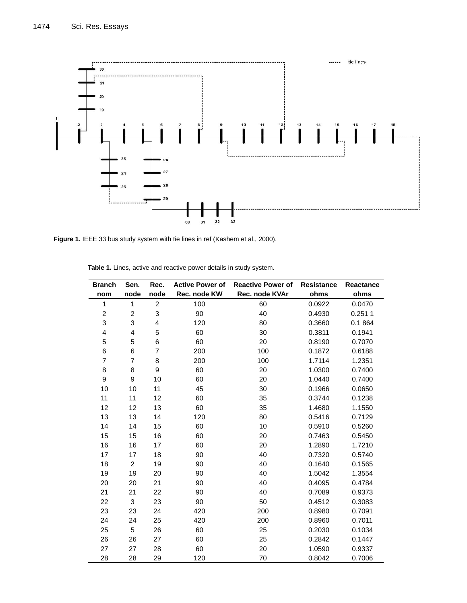

Figure 1. IEEE 33 bus study system with tie lines in ref (Kashem et al., 2000).

| <b>Branch</b>           | Sen.           | Rec.           | <b>Reactive Power of</b><br><b>Active Power of</b> |                | <b>Resistance</b> | <b>Reactance</b> |
|-------------------------|----------------|----------------|----------------------------------------------------|----------------|-------------------|------------------|
| nom                     | node           | node           | Rec. node KW                                       | Rec. node KVAr | ohms              | ohms             |
| $\mathbf{1}$            | 1              | $\overline{c}$ | 100                                                | 60             | 0.0922            | 0.0470           |
| $\overline{c}$          | $\overline{2}$ | 3              | 90                                                 | 40             | 0.4930            | 0.2511           |
| 3                       | 3              | 4              | 120                                                | 80             | 0.3660            | 0.1 864          |
| $\overline{\mathbf{4}}$ | 4              | 5              | 60                                                 | 30             | 0.3811            | 0.1941           |
| 5                       | 5              | 6              | 60                                                 | 20             | 0.8190            | 0.7070           |
| 6                       | 6              | $\overline{7}$ | 200                                                | 100            | 0.1872            | 0.6188           |
| $\overline{7}$          | $\overline{7}$ | 8              | 200                                                | 100            | 1.7114            | 1.2351           |
| 8                       | 8              | 9              | 60                                                 | 20             | 1.0300            | 0.7400           |
| 9                       | 9              | 10             | 60                                                 | 20             | 1.0440            | 0.7400           |
| 10                      | 10             | 11             | 45                                                 | 30             | 0.1966            | 0.0650           |
| 11                      | 11             | 12             | 60                                                 | 35             | 0.3744            | 0.1238           |
| 12                      | 12             | 13             | 60                                                 | 35             | 1.4680            | 1.1550           |
| 13                      | 13             | 14             | 120                                                | 80             | 0.5416            | 0.7129           |
| 14                      | 14             | 15             | 60                                                 | 10             | 0.5910            | 0.5260           |
| 15                      | 15             | 16             | 60                                                 | 20             | 0.7463            | 0.5450           |
| 16                      | 16             | 17             | 60                                                 | 20             | 1.2890            | 1.7210           |
| 17                      | 17             | 18             | 90                                                 | 40             | 0.7320            | 0.5740           |
| 18                      | $\overline{c}$ | 19             | 90                                                 | 40             | 0.1640            | 0.1565           |
| 19                      | 19             | 20             | 90                                                 | 40             | 1.5042            | 1.3554           |
| 20                      | 20             | 21             | 90                                                 | 40             | 0.4095            | 0.4784           |
| 21                      | 21             | 22             | 90                                                 | 40             | 0.7089            | 0.9373           |
| 22                      | 3              | 23             | 90                                                 | 50             | 0.4512            | 0.3083           |
| 23                      | 23             | 24             | 420                                                | 200            | 0.8980            | 0.7091           |
| 24                      | 24             | 25             | 420                                                | 200            | 0.8960            | 0.7011           |
| 25                      | 5              | 26             | 60                                                 | 25             | 0.2030            | 0.1034           |
| 26                      | 26             | 27             | 60                                                 | 25             | 0.2842            | 0.1447           |
| 27                      | 27             | 28             | 60                                                 | 20             | 1.0590            | 0.9337           |
| 28                      | 28             | 29             | 120                                                | 70             | 0.8042            | 0.7006           |

**Table 1.** Lines, active and reactive power details in study system.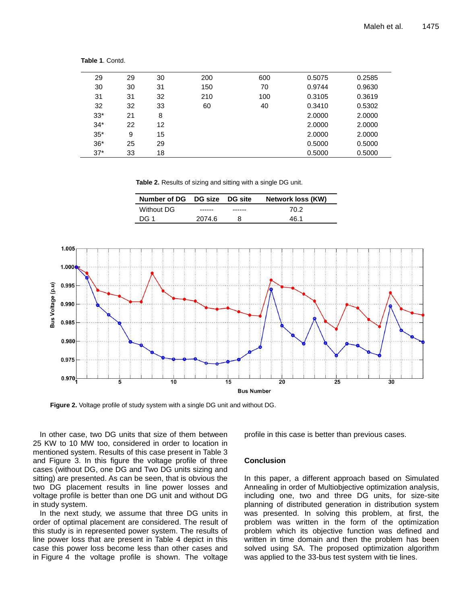| 29    | 29 | 30 | 200 | 600 | 0.5075 | 0.2585 |
|-------|----|----|-----|-----|--------|--------|
| 30    | 30 | 31 | 150 | 70  | 0.9744 | 0.9630 |
| 31    | 31 | 32 | 210 | 100 | 0.3105 | 0.3619 |
| 32    | 32 | 33 | 60  | 40  | 0.3410 | 0.5302 |
| $33*$ | 21 | 8  |     |     | 2.0000 | 2.0000 |
| $34*$ | 22 | 12 |     |     | 2.0000 | 2.0000 |
| $35*$ | 9  | 15 |     |     | 2.0000 | 2.0000 |
| $36*$ | 25 | 29 |     |     | 0.5000 | 0.5000 |
| $37*$ | 33 | 18 |     |     | 0.5000 | 0.5000 |

**Table 1**. Contd.

**Table 2.** Results of sizing and sitting with a single DG unit.

| Number of DG DG size DG site |        | Network loss (KW) |
|------------------------------|--------|-------------------|
| Without DG                   |        | 70.2              |
| DG 1                         | 2074.6 | 46 1              |



**Figure 2.** Voltage profile of study system with a single DG unit and without DG.

In other case, two DG units that size of them between 25 KW to 10 MW too, considered in order to location in mentioned system. Results of this case present in Table 3 and Figure 3. In this figure the voltage profile of three cases (without DG, one DG and Two DG units sizing and sitting) are presented. As can be seen, that is obvious the two DG placement results in line power losses and voltage profile is better than one DG unit and without DG in study system.

In the next study, we assume that three DG units in order of optimal placement are considered. The result of this study is in represented power system. The results of line power loss that are present in Table 4 depict in this case this power loss become less than other cases and in Figure 4 the voltage profile is shown. The voltage profile in this case is better than previous cases.

#### **Conclusion**

In this paper, a different approach based on Simulated Annealing in order of Multiobjective optimization analysis, including one, two and three DG units, for size-site planning of distributed generation in distribution system was presented. In solving this problem, at first, the problem was written in the form of the optimization problem which its objective function was defined and written in time domain and then the problem has been solved using SA. The proposed optimization algorithm was applied to the 33-bus test system with tie lines.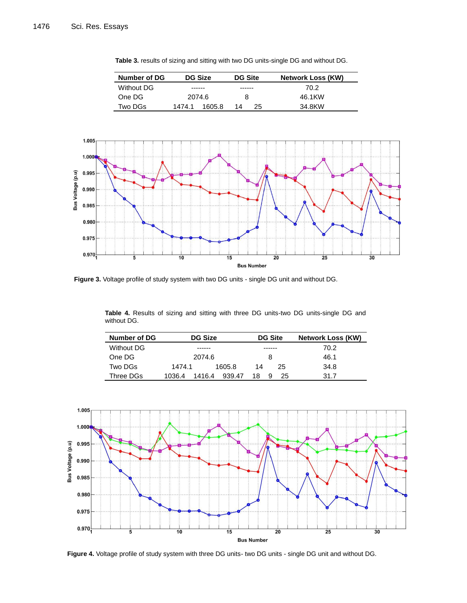Bus Voltage (p.u)

0.995

0.990

0.985

0.980

0.975

 $0.970_4^1$ 



**Table 3.** results of sizing and sitting with two DG units-single DG and without DG.

**Figure 3.** Voltage profile of study system with two DG units - single DG unit and without DG.

 $10$ 

**Table 4.** Results of sizing and sitting with three DG units-two DG units-single DG and without DG.

 $15$ 

**Bus Number** 

20

 $\overline{30}$ 

 $\overline{25}$ 

| Number of DG | <b>DG Size</b>             | <b>DG Site</b> | <b>Network Loss (KW)</b> |
|--------------|----------------------------|----------------|--------------------------|
| Without DG   | ------                     | ------         | 70.2                     |
| One DG       | 2074.6                     |                | 46.1                     |
| Two DGs      | 1605.8<br>1474.1           | 25<br>14       | 34.8                     |
| Three DGs    | 1416.4<br>939.47<br>1036.4 | 18.<br>25      | 31.7                     |



**Figure 4.** Voltage profile of study system with three DG units- two DG units - single DG unit and without DG.